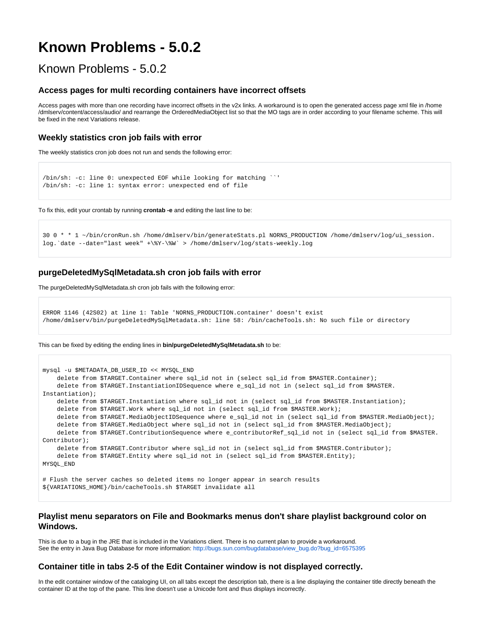# **Known Problems - 5.0.2**

## Known Problems - 5.0.2

#### **Access pages for multi recording containers have incorrect offsets**

Access pages with more than one recording have incorrect offsets in the v2x links. A workaround is to open the generated access page xml file in /home /dmlserv/content/access/audio/ and rearrange the OrderedMediaObject list so that the MO tags are in order according to your filename scheme. This will be fixed in the next Variations release.

#### **Weekly statistics cron job fails with error**

The weekly statistics cron job does not run and sends the following error:

```
/bin/sh: -c: line 0: unexpected EOF while looking for matching ``'
/bin/sh: -c: line 1: syntax error: unexpected end of file
```
To fix this, edit your crontab by running **crontab -e** and editing the last line to be:

```
30 0 * * 1 ~/bin/cronRun.sh /home/dmlserv/bin/generateStats.pl NORNS_PRODUCTION /home/dmlserv/log/ui_session.
log.`date --date="last week" +\%Y-\%W` > /home/dmlserv/log/stats-weekly.log
```
### **purgeDeletedMySqlMetadata.sh cron job fails with error**

The purgeDeletedMySqlMetadata.sh cron job fails with the following error:

```
ERROR 1146 (42S02) at line 1: Table 'NORNS_PRODUCTION.container' doesn't exist
/home/dmlserv/bin/purgeDeletedMySqlMetadata.sh: line 58: /bin/cacheTools.sh: No such file or directory
```
#### This can be fixed by editing the ending lines in **bin/purgeDeletedMySqlMetadata.sh** to be:

```
mysql -u $METADATA_DB_USER_ID << MYSQL_END
    delete from $TARGET.Container where sql_id not in (select sql_id from $MASTER.Container);
    delete from $TARGET.InstantiationIDSequence where e_sql_id not in (select sql_id from $MASTER.
Instantiation);
    delete from $TARGET.Instantiation where sql_id not in (select sql_id from $MASTER.Instantiation);
     delete from $TARGET.Work where sql_id not in (select sql_id from $MASTER.Work);
   delete from $TARGET.MediaObjectIDSequence where e_sql_id not in (select sql_id from $MASTER.MediaObject);
    delete from $TARGET.MediaObject where sql_id not in (select sql_id from $MASTER.MediaObject);
    delete from $TARGET.ContributionSequence where e_contributorRef_sql_id not in (select sql_id from $MASTER.
Contributor);
    delete from $TARGET.Contributor where sql_id not in (select sql_id from $MASTER.Contributor);
     delete from $TARGET.Entity where sql_id not in (select sql_id from $MASTER.Entity);
MYSQL_END
# Flush the server caches so deleted items no longer appear in search results
```
\${VARIATIONS\_HOME}/bin/cacheTools.sh \$TARGET invalidate all

## **Playlist menu separators on File and Bookmarks menus don't share playlist background color on Windows.**

This is due to a bug in the JRE that is included in the Variations client. There is no current plan to provide a workaround. See the entry in Java Bug Database for more information: [http://bugs.sun.com/bugdatabase/view\\_bug.do?bug\\_id=6575395](http://bugs.sun.com/bugdatabase/view_bug.do?bug_id=6575395)

#### **Container title in tabs 2-5 of the Edit Container window is not displayed correctly.**

In the edit container window of the cataloging UI, on all tabs except the description tab, there is a line displaying the container title directly beneath the container ID at the top of the pane. This line doesn't use a Unicode font and thus displays incorrectly.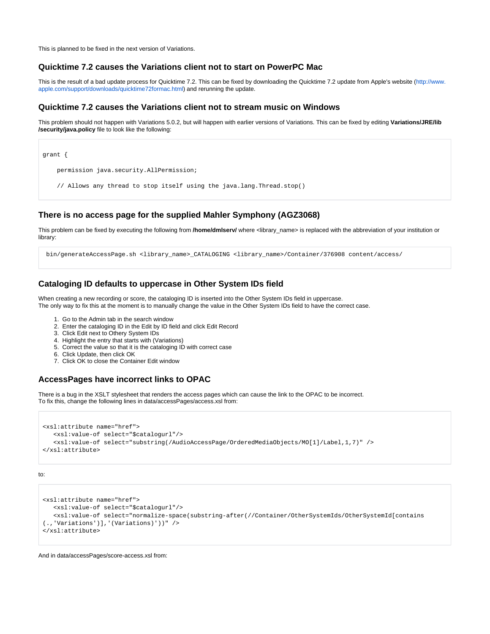This is planned to be fixed in the next version of Variations.

#### **Quicktime 7.2 causes the Variations client not to start on PowerPC Mac**

This is the result of a bad update process for Quicktime 7.2. This can be fixed by downloading the Quicktime 7.2 update from Apple's website [\(http://www.](http://www.apple.com/support/downloads/quicktime72formac.html) [apple.com/support/downloads/quicktime72formac.html\)](http://www.apple.com/support/downloads/quicktime72formac.html) and rerunning the update.

#### **Quicktime 7.2 causes the Variations client not to stream music on Windows**

This problem should not happen with Variations 5.0.2, but will happen with earlier versions of Variations. This can be fixed by editing **Variations/JRE/lib /security/java.policy** file to look like the following:

| grant {                                                               |  |
|-----------------------------------------------------------------------|--|
| permission java.security.AllPermission;                               |  |
| // Allows any thread to stop itself using the java.lang.Thread.stop() |  |

### **There is no access page for the supplied Mahler Symphony (AGZ3068)**

This problem can be fixed by executing the following from **/home/dmlserv/** where <library\_name> is replaced with the abbreviation of your institution or library:

bin/generateAccessPage.sh <library\_name>\_CATALOGING <library\_name>/Container/376908 content/access/

## **Cataloging ID defaults to uppercase in Other System IDs field**

When creating a new recording or score, the cataloging ID is inserted into the Other System IDs field in uppercase. The only way to fix this at the moment is to manually change the value in the Other System IDs field to have the correct case.

- 1. Go to the Admin tab in the search window
- 2. Enter the cataloging ID in the Edit by ID field and click Edit Record
- 3. Click Edit next to Othery System IDs
- 4. Highlight the entry that starts with (Variations)
- 5. Correct the value so that it is the cataloging ID with correct case
- 6. Click Update, then click OK
- 7. Click OK to close the Container Edit window

## **AccessPages have incorrect links to OPAC**

There is a bug in the XSLT stylesheet that renders the access pages which can cause the link to the OPAC to be incorrect. To fix this, change the following lines in data/accessPages/access.xsl from:

```
<xsl:attribute name="href">
   <xsl:value-of select="$catalogurl"/>
   <xsl:value-of select="substring(/AudioAccessPage/OrderedMediaObjects/MO[1]/Label,1,7)" />
</xsl:attribute>
```

```
to:
```

```
<xsl:attribute name="href">
   <xsl:value-of select="$catalogurl"/>
    <xsl:value-of select="normalize-space(substring-after(//Container/OtherSystemIds/OtherSystemId[contains
(.,'Variations')],'(Variations)'))" />
</xsl:attribute>
```
And in data/accessPages/score-access.xsl from: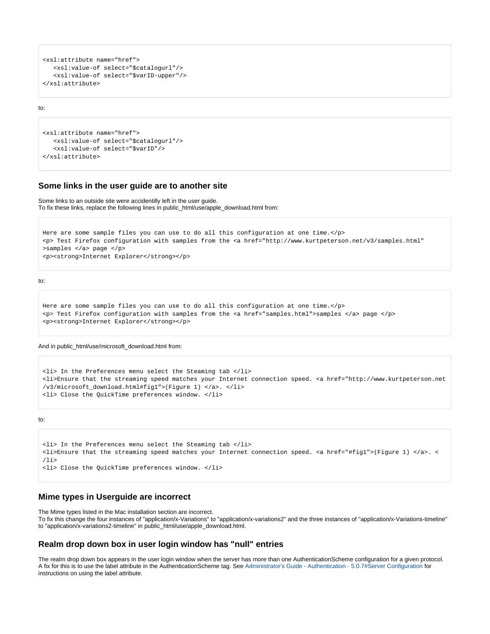```
<xsl:attribute name="href">
   <xsl:value-of select="$catalogurl"/>
    <xsl:value-of select="$varID-upper"/>
</xsl:attribute>
```
to:

```
<xsl:attribute name="href">
   <xsl:value-of select="$catalogurl"/>
    <xsl:value-of select="$varID"/>
</xsl:attribute>
```
#### **Some links in the user guide are to another site**

Some links to an outside site were accidentilly left in the user guide. To fix these links, replace the following lines in public\_html/use/apple\_download.html from:

```
Here are some sample files you can use to do all this configuration at one time.</p>
<p> Test Firefox configuration with samples from the <a href="http://www.kurtpeterson.net/v3/samples.html"
>samples </a> page </p>
<p><strong>Internet Explorer</strong></p>
```
to:

```
Here are some sample files you can use to do all this configuration at one time.</p>
<p> Test Firefox configuration with samples from the <a href="samples.html">samples </a> page </p>
<p><strong>Internet Explorer</strong></p>
```
And in public\_html/use/microsoft\_download.html from:

```
<li> In the Preferences menu select the Steaming tab </li>
<li>Ensure that the streaming speed matches your Internet connection speed. <a href="http://www.kurtpeterson.net
/v3/microsoft_download.html#fig1">(Figure 1) </a>. </li>
<li> Close the QuickTime preferences window. </li>
```
to:

```
<li> In the Preferences menu select the Steaming tab </li>
<li>Ensure that the streaming speed matches your Internet connection speed. <a href="#fig1">(Figure 1) </a>. <
/li>
<li> Close the QuickTime preferences window. </li>
```
## **Mime types in Userguide are incorrect**

The Mime types listed in the Mac installation section are incorrect. To fix this change the four instances of "application/x-Variations" to "application/x-variations2" and the three instances of "application/x-Variations-timeline" to "application/x-variations2-timeline" in public\_html/use/apple\_download.html.

#### **Realm drop down box in user login window has "null" entries**

The realm drop down box appears in the user login window when the server has more than one AuthenticationScheme configuration for a given protocol. A fix for this is to use the label attribute in the AuthenticationScheme tag. See [Administrator's Guide - Authentication - 5.0.7#Server Configuration](https://wiki.dlib.indiana.edu/display/V3/Administrator%27s+Guide+-+Authentication+-+5.0.7#Administrator) for instructions on using the label attribute.